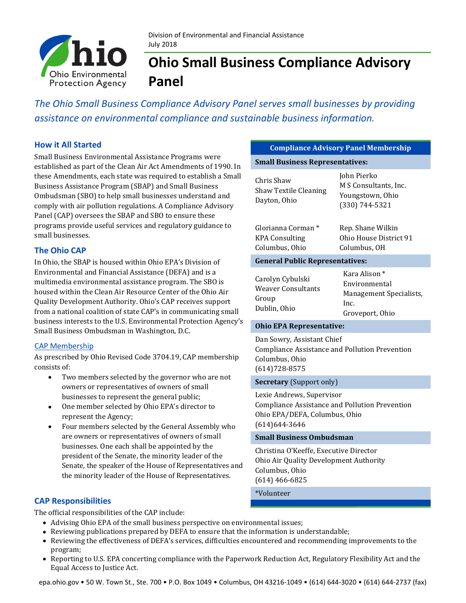

# **Ohio Small Business Compliance Advisory Panel**

*The Ohio Small Business Compliance Advisory Panel serves small businesses by providing assistance on environmental compliance and sustainable business information.* 

## **How it All Started**

Small Business Environmental Assistance Programs were established as part of the Clean Air Act Amendments of 1990. In these Amendments, each state was required to establish a Small Business Assistance Program (SBAP) and Small Business Ombudsman (SBO) to help small businesses understand and comply with air pollution regulations. A Compliance Advisory Panel (CAP) oversees the SBAP and SBO to ensure these programs provide useful services and regulatory guidance to small businesses.

## **The Ohio CAP**

In Ohio, the SBAP is housed within Ohio EPA's Division of Environmental and Financial Assistance (DEFA) and is a multimedia environmental assistance program. The SBO is housed within the Clean Air Resource Center of the Ohio Air Quality Development Authority. Ohio's CAP receives support from a national coalition of state CAP's in communicating small business interests to the U.S. Environmental Protection Agency's Small Business Ombudsman in Washington, D.C.

#### CAP Membership

As prescribed by Ohio Revised Code 3704.19, CAP membership consists of:

- Two members selected by the governor who are not owners or representatives of owners of small businesses to represent the general public;
- One member selected by Ohio EPA's director to represent the Agency;
- Four members selected by the General Assembly who are owners or representatives of owners of small businesses. One each shall be appointed by the president of the Senate, the minority leader of the Senate, the speaker of the House of Representatives and the minority leader of the House of Representatives.

## **CAP Responsibilities**

The official responsibilities of the CAP include:

- Advising Ohio EPA of the small business perspective on environmental issues;
- Reviewing publications prepared by DEFA to ensure that the information is understandable;
- Reviewing the effectiveness of DEFA's services, difficulties encountered and recommending improvements to the program;
- Reporting to U.S. EPA concerting compliance with the Paperwork Reduction Act, Regulatory Flexibility Act and the Equal Access to Justice Act.

#### **Compliance Advisory Panel Membership**

**Small Business Representatives:** 

| Chris Shaw<br>Shaw Textile Cleaning<br>Dayton, Ohio<br>Glorianna Corman *<br>KPA Consulting | John Pierko<br>M S Consultants, Inc.<br>Youngstown, Ohio<br>(330) 744-5321<br>Rep. Shane Wilkin<br>Ohio House District 91 |
|---------------------------------------------------------------------------------------------|---------------------------------------------------------------------------------------------------------------------------|
| Columbus, Ohio                                                                              | Columbus, OH                                                                                                              |
| <b>General Public Representatives:</b>                                                      |                                                                                                                           |
| Carolyn Cybulski<br>Weaver Consultants<br>Group<br>Dublin, Ohio                             | Kara Alison *<br>Environmental<br>Management Specialists,<br>Inc.<br>Groveport, Ohio                                      |

#### **Ohio EPA Representative:**

Dan Sowry, Assistant Chief Compliance Assistance and Pollution Prevention Columbus, Ohio (614)728-8575

#### **Secretary** (Support only)

Lexie Andrews, Supervisor Compliance Assistance and Pollution Prevention Ohio EPA/DEFA, Columbus, Ohio (614)644-3646

#### **Small Business Ombudsman**

Christina O'Keeffe, Executive Director Ohio Air Quality Development Authority Columbus, Ohio (614) 466-6825

\*Volunteer

epa.ohio.gov • 50 W. Town St., Ste. 700 • P.O. Box 1049 • Columbus, OH 43216-1049 • (614) 644-3020 • (614) 644-2737 (fax)